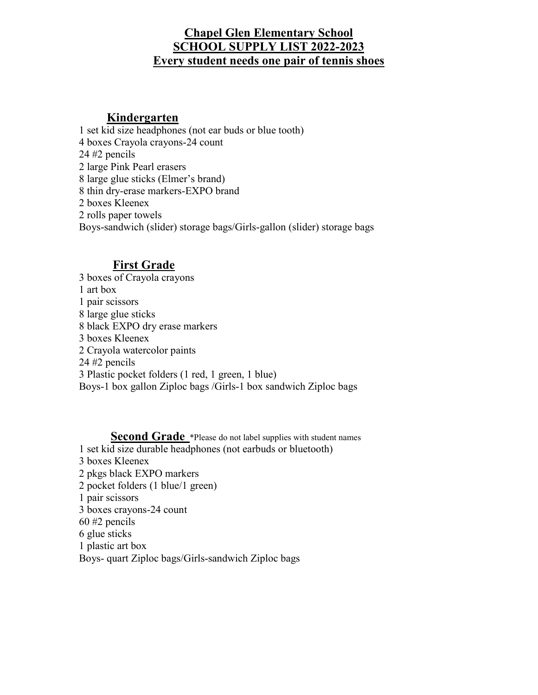# **Chapel Glen Elementary School SCHOOL SUPPLY LIST 2022-2023 Every student needs one pair of tennis shoes**

#### **Kindergarten**

1 set kid size headphones (not ear buds or blue tooth) 4 boxes Crayola crayons-24 count 24 #2 pencils 2 large Pink Pearl erasers 8 large glue sticks (Elmer's brand) 8 thin dry-erase markers-EXPO brand 2 boxes Kleenex 2 rolls paper towels Boys-sandwich (slider) storage bags/Girls-gallon (slider) storage bags

# **First Grade**

3 boxes of Crayola crayons 1 art box 1 pair scissors 8 large glue sticks 8 black EXPO dry erase markers 3 boxes Kleenex 2 Crayola watercolor paints 24 #2 pencils 3 Plastic pocket folders (1 red, 1 green, 1 blue) Boys-1 box gallon Ziploc bags /Girls-1 box sandwich Ziploc bags

**Second Grade** \*Please do not label supplies with student names 1 set kid size durable headphones (not earbuds or bluetooth) 3 boxes Kleenex 2 pkgs black EXPO markers 2 pocket folders (1 blue/1 green) 1 pair scissors 3 boxes crayons-24 count 60 #2 pencils 6 glue sticks 1 plastic art box Boys- quart Ziploc bags/Girls-sandwich Ziploc bags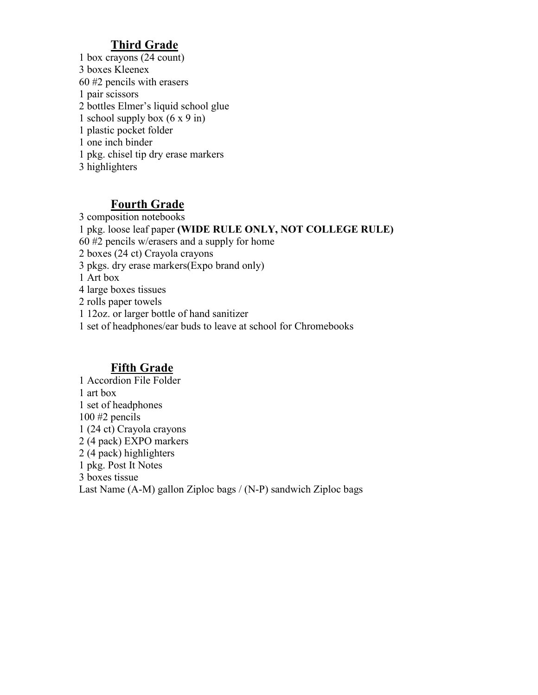# **Third Grade**

1 box crayons (24 count) 3 boxes Kleenex 60 #2 pencils with erasers 1 pair scissors 2 bottles Elmer's liquid school glue 1 school supply box  $(6 \times 9 \text{ in})$ 1 plastic pocket folder 1 one inch binder 1 pkg. chisel tip dry erase markers 3 highlighters

### **Fourth Grade**

3 composition notebooks 1 pkg. loose leaf paper **(WIDE RULE ONLY, NOT COLLEGE RULE)** 60 #2 pencils w/erasers and a supply for home 2 boxes (24 ct) Crayola crayons 3 pkgs. dry erase markers(Expo brand only) 1 Art box 4 large boxes tissues 2 rolls paper towels 1 12oz. or larger bottle of hand sanitizer 1 set of headphones/ear buds to leave at school for Chromebooks

### **Fifth Grade**

1 Accordion File Folder 1 art box 1 set of headphones 100 #2 pencils 1 (24 ct) Crayola crayons 2 (4 pack) EXPO markers 2 (4 pack) highlighters 1 pkg. Post It Notes 3 boxes tissue Last Name (A-M) gallon Ziploc bags / (N-P) sandwich Ziploc bags